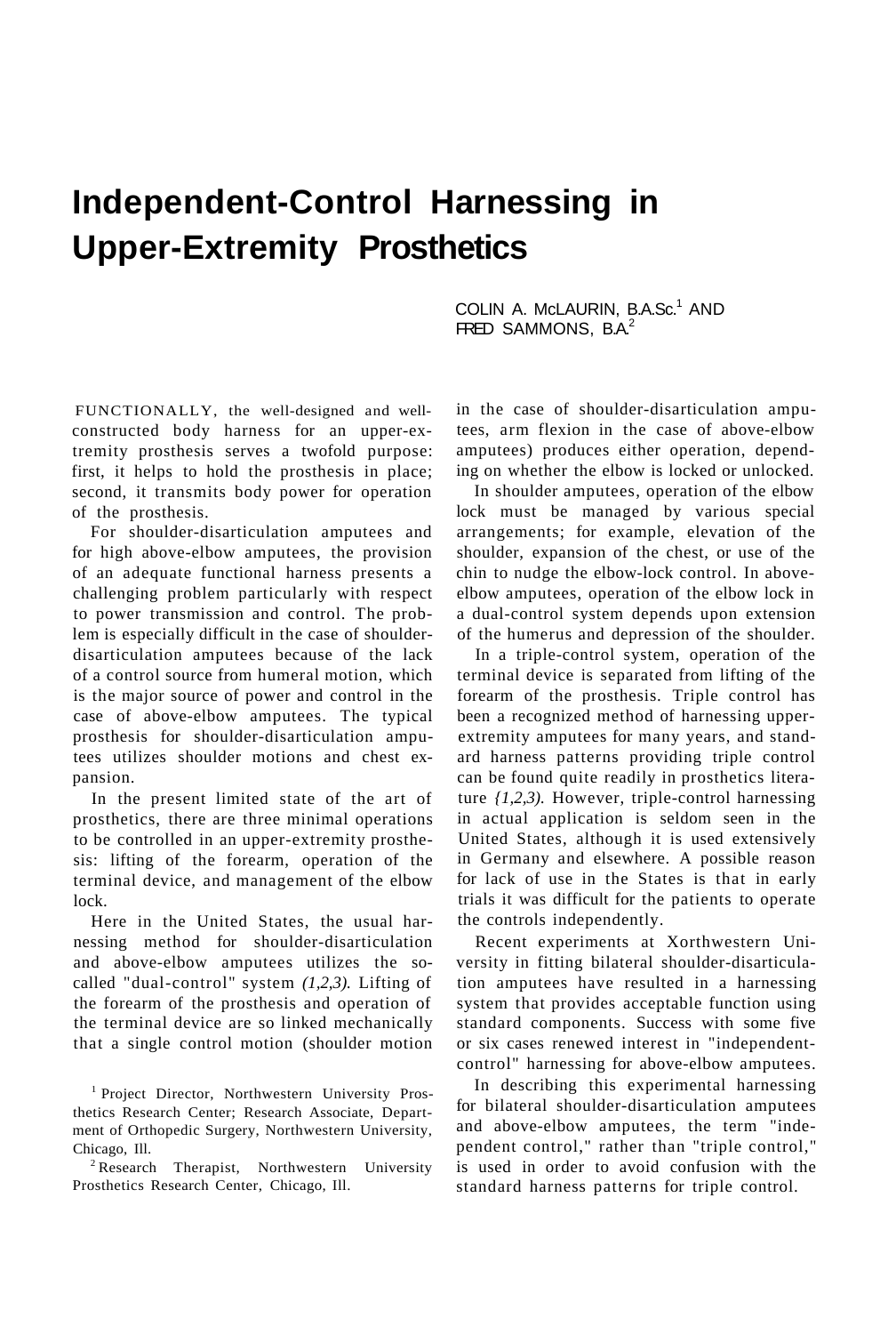# **Independent-Control Harnessing in Upper-Extremity Prosthetics**

COLIN A. McLAURIN, B.A.Sc.<sup>1</sup> AND FRED SAMMONS, B.A.<sup>2</sup>

FUNCTIONALLY, the well-designed and wellconstructed body harness for an upper-extremity prosthesis serves a twofold purpose: first, it helps to hold the prosthesis in place; second, it transmits body power for operation of the prosthesis.

For shoulder-disarticulation amputees and for high above-elbow amputees, the provision of an adequate functional harness presents a challenging problem particularly with respect to power transmission and control. The problem is especially difficult in the case of shoulderdisarticulation amputees because of the lack of a control source from humeral motion, which is the major source of power and control in the case of above-elbow amputees. The typical prosthesis for shoulder-disarticulation amputees utilizes shoulder motions and chest expansion.

In the present limited state of the art of prosthetics, there are three minimal operations to be controlled in an upper-extremity prosthesis: lifting of the forearm, operation of the terminal device, and management of the elbow lock.

Here in the United States, the usual harnessing method for shoulder-disarticulation and above-elbow amputees utilizes the socalled "dual-control" system *(1,2,3).* Lifting of the forearm of the prosthesis and operation of the terminal device are so linked mechanically that a single control motion (shoulder motion

<sup>1</sup> Project Director, Northwestern University Prosthetics Research Center; Research Associate, Department of Orthopedic Surgery, Northwestern University, Chicago, Ill.

<sup>2</sup> Research Therapist, Northwestern University Prosthetics Research Center, Chicago, Ill.

in the case of shoulder-disarticulation amputees, arm flexion in the case of above-elbow amputees) produces either operation, depending on whether the elbow is locked or unlocked.

In shoulder amputees, operation of the elbow lock must be managed by various special arrangements; for example, elevation of the shoulder, expansion of the chest, or use of the chin to nudge the elbow-lock control. In aboveelbow amputees, operation of the elbow lock in a dual-control system depends upon extension of the humerus and depression of the shoulder.

In a triple-control system, operation of the terminal device is separated from lifting of the forearm of the prosthesis. Triple control has been a recognized method of harnessing upperextremity amputees for many years, and standard harness patterns providing triple control can be found quite readily in prosthetics literature *{1,2,3).* However, triple-control harnessing in actual application is seldom seen in the United States, although it is used extensively in Germany and elsewhere. A possible reason for lack of use in the States is that in early trials it was difficult for the patients to operate the controls independently.

Recent experiments at Xorthwestern University in fitting bilateral shoulder-disarticulation amputees have resulted in a harnessing system that provides acceptable function using standard components. Success with some five or six cases renewed interest in "independentcontrol" harnessing for above-elbow amputees.

In describing this experimental harnessing for bilateral shoulder-disarticulation amputees and above-elbow amputees, the term "independent control," rather than "triple control," is used in order to avoid confusion with the standard harness patterns for triple control.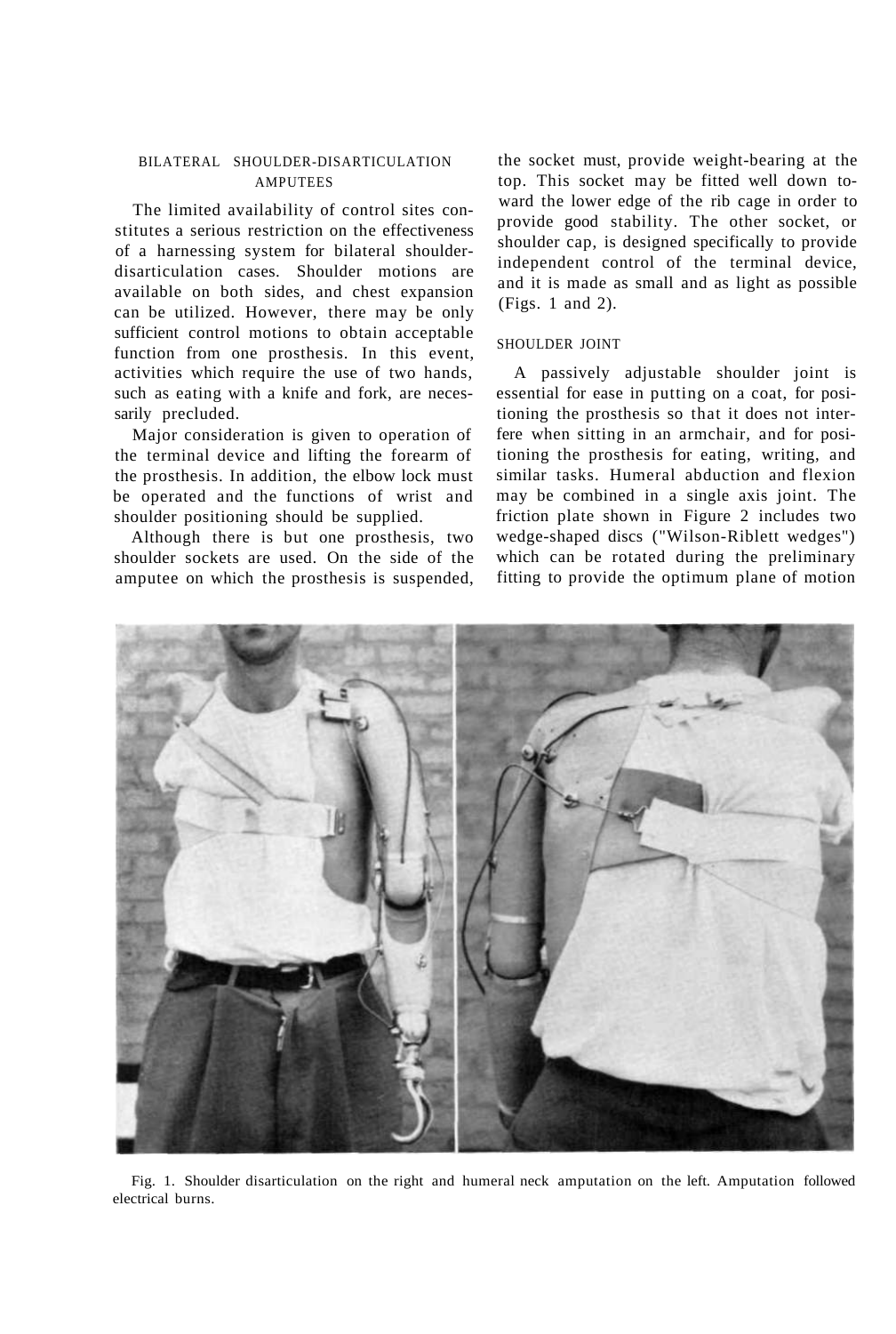# BILATERAL SHOULDER-DISARTICULATION AMPUTEES

The limited availability of control sites constitutes a serious restriction on the effectiveness of a harnessing system for bilateral shoulderdisarticulation cases. Shoulder motions are available on both sides, and chest expansion can be utilized. However, there may be only sufficient control motions to obtain acceptable function from one prosthesis. In this event, activities which require the use of two hands, such as eating with a knife and fork, are necessarily precluded.

Major consideration is given to operation of the terminal device and lifting the forearm of the prosthesis. In addition, the elbow lock must be operated and the functions of wrist and shoulder positioning should be supplied.

Although there is but one prosthesis, two shoulder sockets are used. On the side of the amputee on which the prosthesis is suspended,

the socket must, provide weight-bearing at the top. This socket may be fitted well down toward the lower edge of the rib cage in order to provide good stability. The other socket, or shoulder cap, is designed specifically to provide independent control of the terminal device, and it is made as small and as light as possible (Figs. 1 and 2).

#### SHOULDER JOINT

A passively adjustable shoulder joint is essential for ease in putting on a coat, for positioning the prosthesis so that it does not interfere when sitting in an armchair, and for positioning the prosthesis for eating, writing, and similar tasks. Humeral abduction and flexion may be combined in a single axis joint. The friction plate shown in Figure 2 includes two wedge-shaped discs ("Wilson-Riblett wedges") which can be rotated during the preliminary fitting to provide the optimum plane of motion



Fig. 1. Shoulder disarticulation on the right and humeral neck amputation on the left. Amputation followed electrical burns.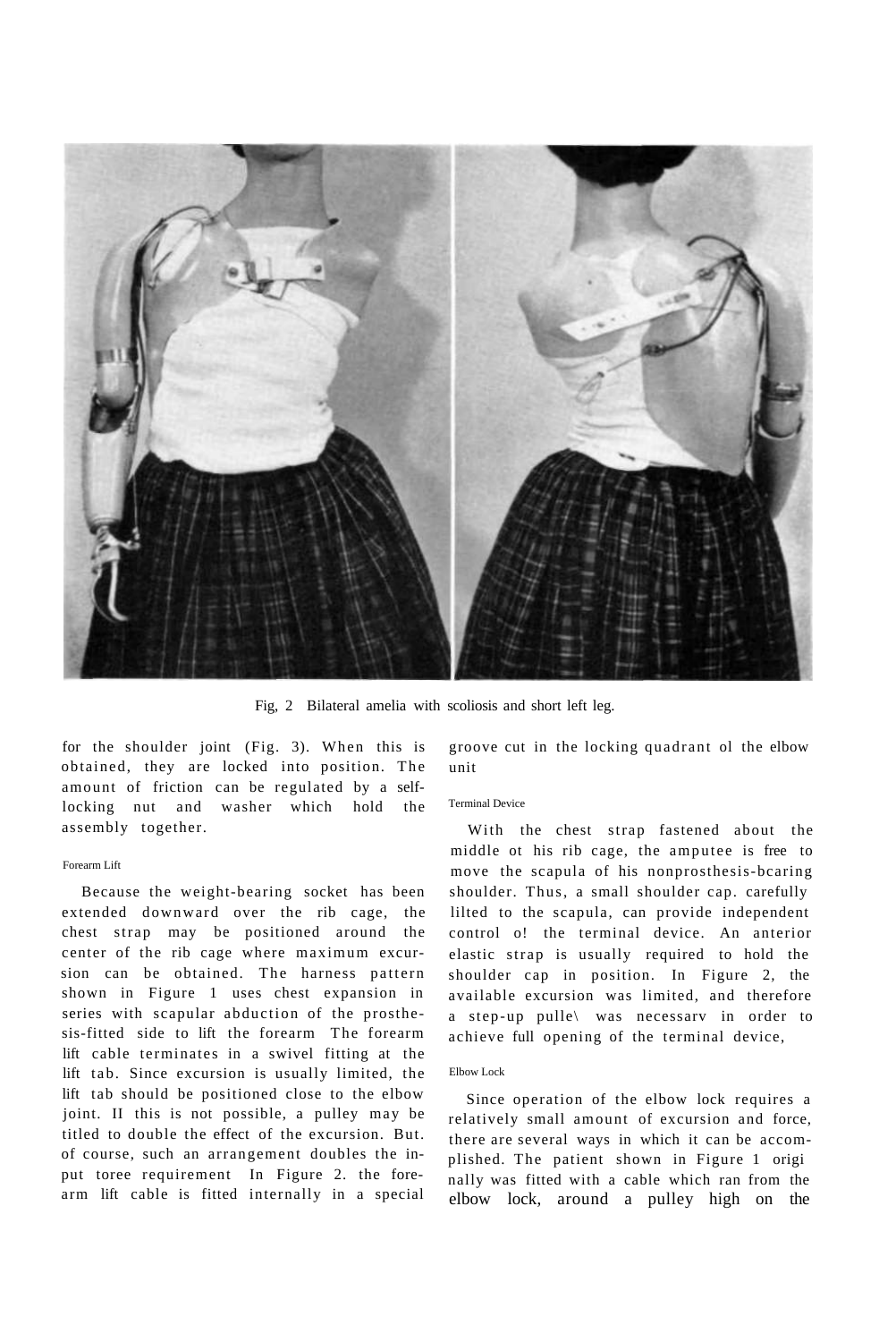

Fig, 2 Bilateral amelia with scoliosis and short left leg.

for the shoulder joint (Fig. 3). When this is obtained, they are locked into position. The amount of friction can be regulated by a selflocking nut and washer which hold the assembly together.

#### Forearm Lift

Because the weight-bearing socket has been extended downward over the rib cage, the chest strap may be positioned around the center of the rib cage where maximum excursion can be obtained. The harness pattern shown in Figure 1 uses chest expansion in series with scapular abduction of the prosthesis-fitted side to lift the forearm The forearm lift cable terminates in a swivel fitting at the lift tab. Since excursion is usually limited, the lift tab should be positioned close to the elbow joint. II this is not possible, a pulley may be titled to double the effect of the excursion. But. of course, such an arrangement doubles the input toree requirement In Figure 2. the forearm lift cable is fitted internally in a special

groove cut in the locking quadrant ol the elbow unit

### Terminal Device

With the chest strap fastened about the middle ot his rib cage, the amputee is free to move the scapula of his nonprosthesis-bcaring shoulder. Thus, a small shoulder cap. carefully lilted to the scapula, can provide independent control o! the terminal device. An anterior elastic strap is usually required to hold the shoulder cap in position. In Figure 2*,* the available excursion was limited, and therefore a step-up pulle\ was necessarv in order to achieve full opening of the terminal device,

#### Elbow Lock

Since operation of the elbow lock requires a relatively small amount of excursion and force, there are several ways in which it can be accomplished. The patient shown in Figure 1 origi nally was fitted with a cable which ran from the elbow lock, around a pulley high on the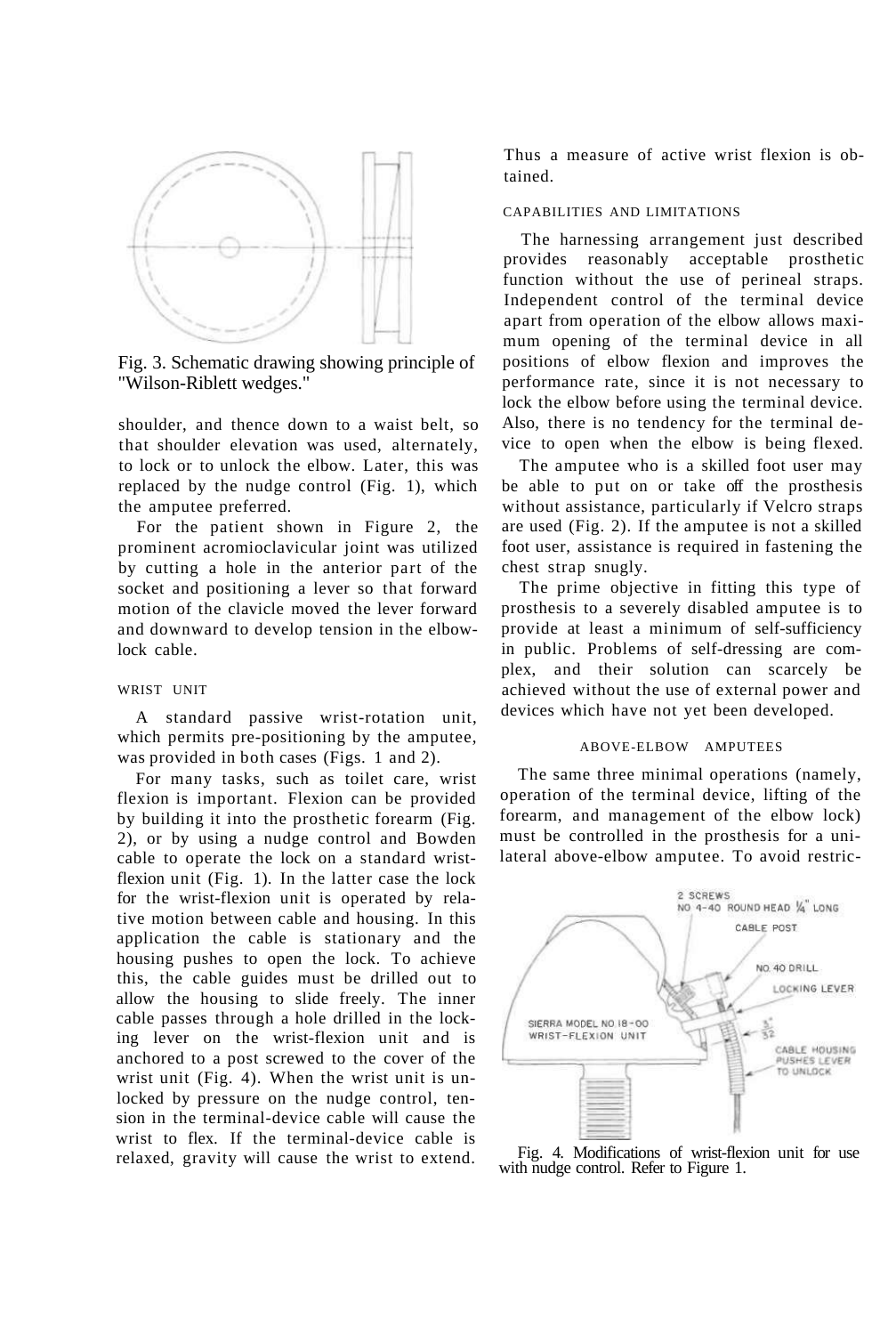

Fig. 3. Schematic drawing showing principle of "Wilson-Riblett wedges."

shoulder, and thence down to a waist belt, so that shoulder elevation was used, alternately, to lock or to unlock the elbow. Later, this was replaced by the nudge control (Fig. 1), which the amputee preferred.

For the patient shown in Figure 2, the prominent acromioclavicular joint was utilized by cutting a hole in the anterior part of the socket and positioning a lever so that forward motion of the clavicle moved the lever forward and downward to develop tension in the elbowlock cable.

#### WRIST UNIT

A standard passive wrist-rotation unit, which permits pre-positioning by the amputee, was provided in both cases (Figs. 1 and 2).

For many tasks, such as toilet care, wrist flexion is important. Flexion can be provided by building it into the prosthetic forearm (Fig. 2), or by using a nudge control and Bowden cable to operate the lock on a standard wristflexion unit (Fig. 1). In the latter case the lock for the wrist-flexion unit is operated by relative motion between cable and housing. In this application the cable is stationary and the housing pushes to open the lock. To achieve this, the cable guides must be drilled out to allow the housing to slide freely. The inner cable passes through a hole drilled in the locking lever on the wrist-flexion unit and is anchored to a post screwed to the cover of the wrist unit (Fig. 4). When the wrist unit is unlocked by pressure on the nudge control, tension in the terminal-device cable will cause the wrist to flex. If the terminal-device cable is relaxed, gravity will cause the wrist to extend.

Thus a measure of active wrist flexion is obtained.

## CAPABILITIES AND LIMITATIONS

The harnessing arrangement just described provides reasonably acceptable prosthetic function without the use of perineal straps. Independent control of the terminal device apart from operation of the elbow allows maximum opening of the terminal device in all positions of elbow flexion and improves the performance rate, since it is not necessary to lock the elbow before using the terminal device. Also, there is no tendency for the terminal device to open when the elbow is being flexed.

The amputee who is a skilled foot user may be able to put on or take off the prosthesis without assistance, particularly if Velcro straps are used (Fig. 2). If the amputee is not a skilled foot user, assistance is required in fastening the chest strap snugly.

The prime objective in fitting this type of prosthesis to a severely disabled amputee is to provide at least a minimum of self-sufficiency in public. Problems of self-dressing are complex, and their solution can scarcely be achieved without the use of external power and devices which have not yet been developed.

## ABOVE-ELBOW AMPUTEES

The same three minimal operations (namely, operation of the terminal device, lifting of the forearm, and management of the elbow lock) must be controlled in the prosthesis for a unilateral above-elbow amputee. To avoid restric-



Fig. 4. Modifications of wrist-flexion unit for use with nudge control. Refer to Figure 1.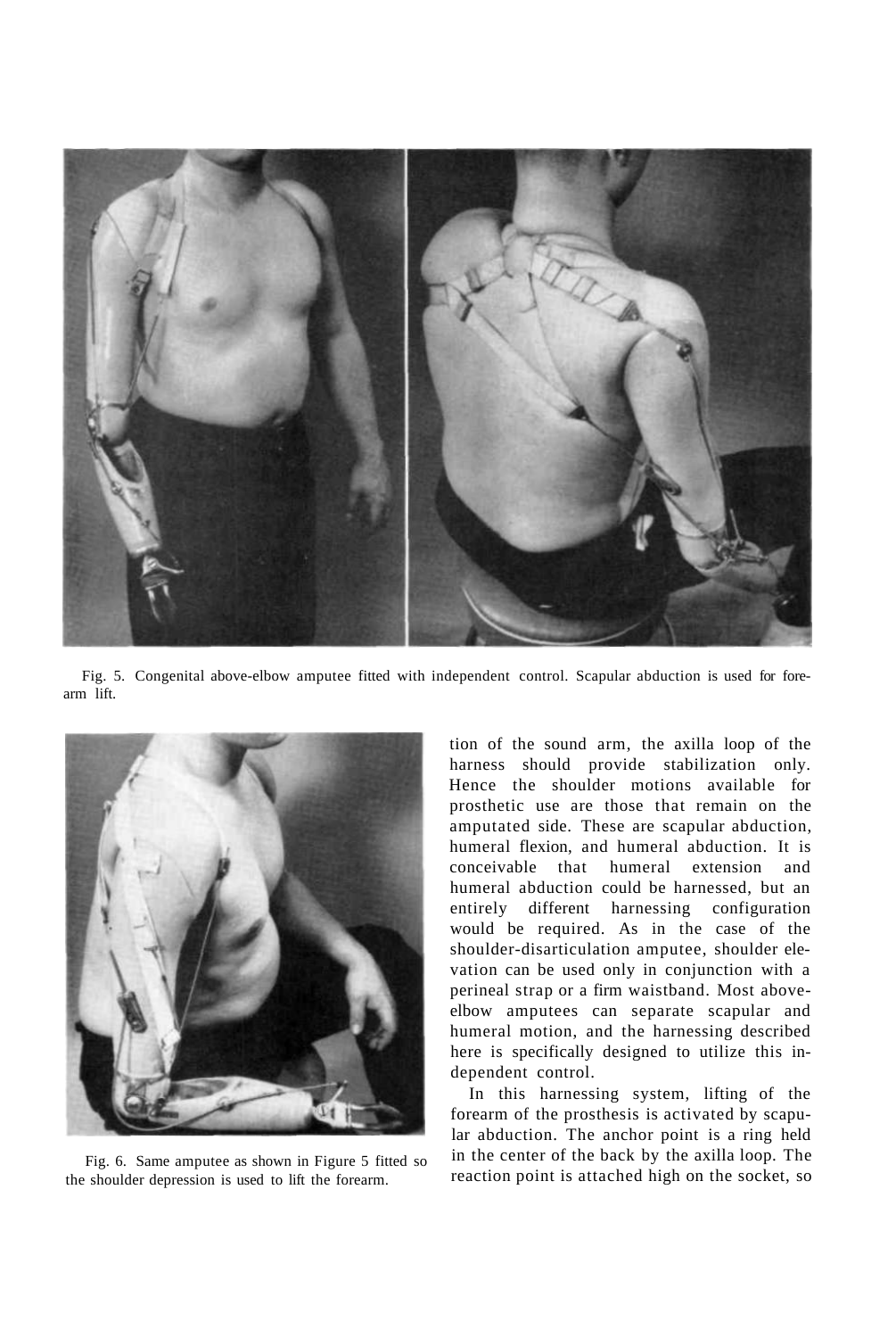

Fig. 5. Congenital above-elbow amputee fitted with independent control. Scapular abduction is used for forearm lift.



Fig. 6. Same amputee as shown in Figure 5 fitted so the shoulder depression is used to lift the forearm.

tion of the sound arm, the axilla loop of the harness should provide stabilization only. Hence the shoulder motions available for prosthetic use are those that remain on the amputated side. These are scapular abduction, humeral flexion, and humeral abduction. It is conceivable that humeral extension and humeral abduction could be harnessed, but an entirely different harnessing configuration would be required. As in the case of the shoulder-disarticulation amputee, shoulder elevation can be used only in conjunction with a perineal strap or a firm waistband. Most aboveelbow amputees can separate scapular and humeral motion, and the harnessing described here is specifically designed to utilize this independent control.

In this harnessing system, lifting of the forearm of the prosthesis is activated by scapular abduction. The anchor point is a ring held in the center of the back by the axilla loop. The reaction point is attached high on the socket, so